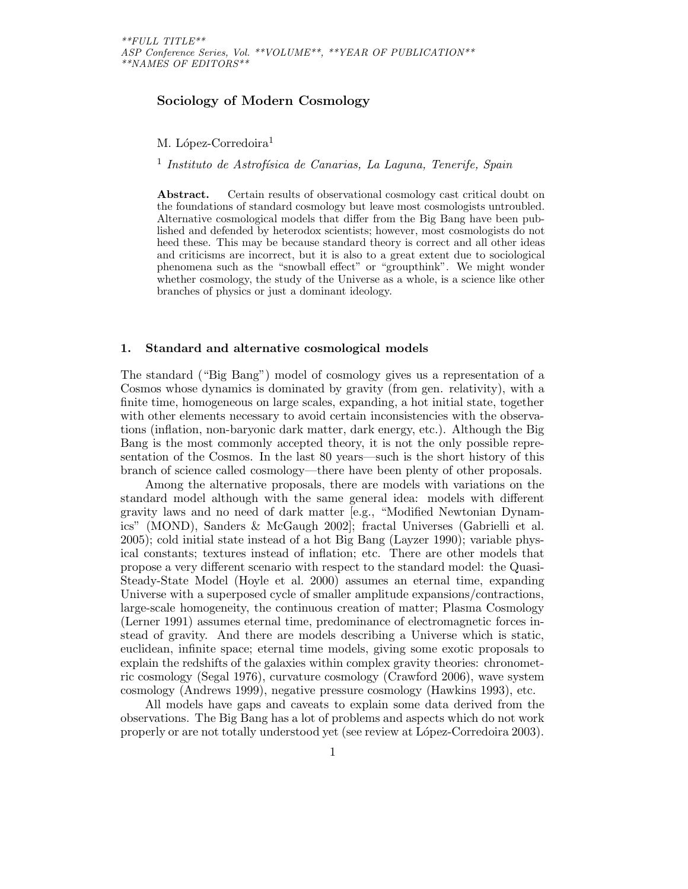# Sociology of Modern Cosmology

M. López-Corredoira<sup>1</sup>

<sup>1</sup> Instituto de Astrofísica de Canarias, La Laguna, Tenerife, Spain

Abstract. Certain results of observational cosmology cast critical doubt on the foundations of standard cosmology but leave most cosmologists untroubled. Alternative cosmological models that differ from the Big Bang have been published and defended by heterodox scientists; however, most cosmologists do not heed these. This may be because standard theory is correct and all other ideas and criticisms are incorrect, but it is also to a great extent due to sociological phenomena such as the "snowball effect" or "groupthink". We might wonder whether cosmology, the study of the Universe as a whole, is a science like other branches of physics or just a dominant ideology.

### 1. Standard and alternative cosmological models

The standard ("Big Bang") model of cosmology gives us a representation of a Cosmos whose dynamics is dominated by gravity (from gen. relativity), with a finite time, homogeneous on large scales, expanding, a hot initial state, together with other elements necessary to avoid certain inconsistencies with the observations (inflation, non-baryonic dark matter, dark energy, etc.). Although the Big Bang is the most commonly accepted theory, it is not the only possible representation of the Cosmos. In the last 80 years—such is the short history of this branch of science called cosmology—there have been plenty of other proposals.

Among the alternative proposals, there are models with variations on the standard model although with the same general idea: models with different gravity laws and no need of dark matter [e.g., "Modified Newtonian Dynamics" (MOND), Sanders & McGaugh 2002]; fractal Universes (Gabrielli et al. 2005); cold initial state instead of a hot Big Bang (Layzer 1990); variable physical constants; textures instead of inflation; etc. There are other models that propose a very different scenario with respect to the standard model: the Quasi-Steady-State Model (Hoyle et al. 2000) assumes an eternal time, expanding Universe with a superposed cycle of smaller amplitude expansions/contractions, large-scale homogeneity, the continuous creation of matter; Plasma Cosmology (Lerner 1991) assumes eternal time, predominance of electromagnetic forces instead of gravity. And there are models describing a Universe which is static, euclidean, infinite space; eternal time models, giving some exotic proposals to explain the redshifts of the galaxies within complex gravity theories: chronometric cosmology (Segal 1976), curvature cosmology (Crawford 2006), wave system cosmology (Andrews 1999), negative pressure cosmology (Hawkins 1993), etc.

All models have gaps and caveats to explain some data derived from the observations. The Big Bang has a lot of problems and aspects which do not work properly or are not totally understood yet (see review at L´opez-Corredoira 2003).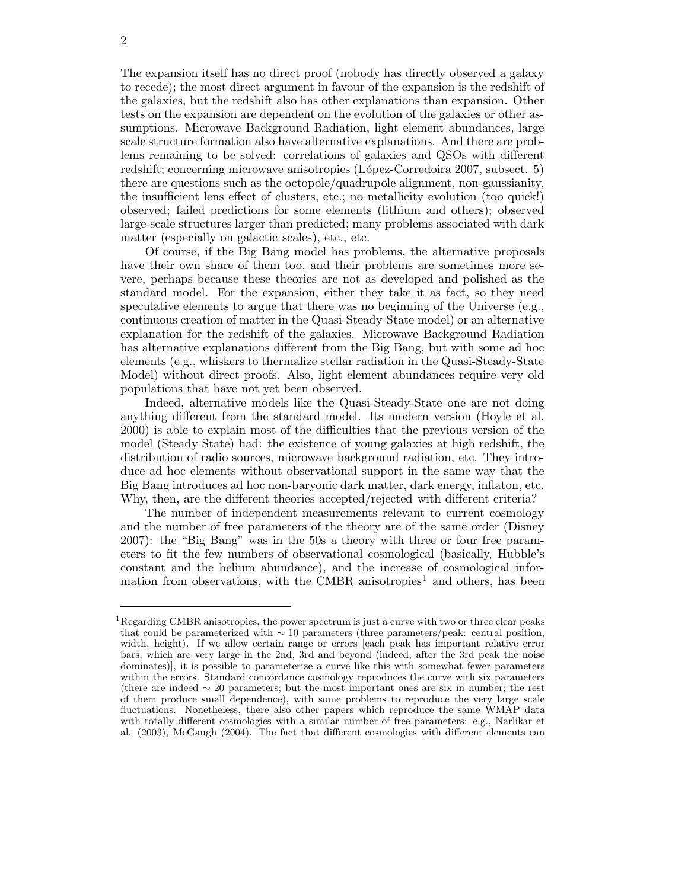The expansion itself has no direct proof (nobody has directly observed a galaxy to recede); the most direct argument in favour of the expansion is the redshift of the galaxies, but the redshift also has other explanations than expansion. Other tests on the expansion are dependent on the evolution of the galaxies or other assumptions. Microwave Background Radiation, light element abundances, large scale structure formation also have alternative explanations. And there are problems remaining to be solved: correlations of galaxies and QSOs with different redshift; concerning microwave anisotropies (López-Corredoira 2007, subsect. 5) there are questions such as the octopole/quadrupole alignment, non-gaussianity, the insufficient lens effect of clusters, etc.; no metallicity evolution (too quick!) observed; failed predictions for some elements (lithium and others); observed large-scale structures larger than predicted; many problems associated with dark matter (especially on galactic scales), etc., etc.

Of course, if the Big Bang model has problems, the alternative proposals have their own share of them too, and their problems are sometimes more severe, perhaps because these theories are not as developed and polished as the standard model. For the expansion, either they take it as fact, so they need speculative elements to argue that there was no beginning of the Universe (e.g., continuous creation of matter in the Quasi-Steady-State model) or an alternative explanation for the redshift of the galaxies. Microwave Background Radiation has alternative explanations different from the Big Bang, but with some ad hoc elements (e.g., whiskers to thermalize stellar radiation in the Quasi-Steady-State Model) without direct proofs. Also, light element abundances require very old populations that have not yet been observed.

Indeed, alternative models like the Quasi-Steady-State one are not doing anything different from the standard model. Its modern version (Hoyle et al. 2000) is able to explain most of the difficulties that the previous version of the model (Steady-State) had: the existence of young galaxies at high redshift, the distribution of radio sources, microwave background radiation, etc. They introduce ad hoc elements without observational support in the same way that the Big Bang introduces ad hoc non-baryonic dark matter, dark energy, inflaton, etc. Why, then, are the different theories accepted/rejected with different criteria?

The number of independent measurements relevant to current cosmology and the number of free parameters of the theory are of the same order (Disney 2007): the "Big Bang" was in the 50s a theory with three or four free parameters to fit the few numbers of observational cosmological (basically, Hubble's constant and the helium abundance), and the increase of cosmological information from observations, with the CMBR anisotropies<sup>1</sup> and others, has been

<sup>&</sup>lt;sup>1</sup>Regarding CMBR anisotropies, the power spectrum is just a curve with two or three clear peaks that could be parameterized with  $\sim 10$  parameters (three parameters/peak: central position, width, height). If we allow certain range or errors [each peak has important relative error bars, which are very large in the 2nd, 3rd and beyond (indeed, after the 3rd peak the noise dominates)], it is possible to parameterize a curve like this with somewhat fewer parameters within the errors. Standard concordance cosmology reproduces the curve with six parameters (there are indeed ∼ 20 parameters; but the most important ones are six in number; the rest of them produce small dependence), with some problems to reproduce the very large scale fluctuations. Nonetheless, there also other papers which reproduce the same WMAP data with totally different cosmologies with a similar number of free parameters: e.g., Narlikar et al. (2003), McGaugh (2004). The fact that different cosmologies with different elements can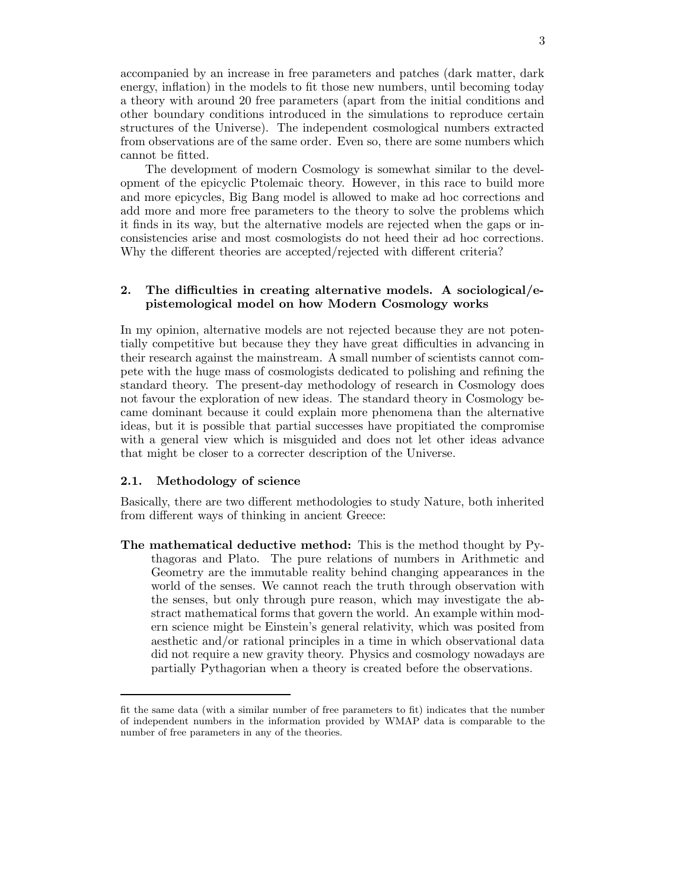accompanied by an increase in free parameters and patches (dark matter, dark energy, inflation) in the models to fit those new numbers, until becoming today a theory with around 20 free parameters (apart from the initial conditions and other boundary conditions introduced in the simulations to reproduce certain structures of the Universe). The independent cosmological numbers extracted from observations are of the same order. Even so, there are some numbers which cannot be fitted.

The development of modern Cosmology is somewhat similar to the development of the epicyclic Ptolemaic theory. However, in this race to build more and more epicycles, Big Bang model is allowed to make ad hoc corrections and add more and more free parameters to the theory to solve the problems which it finds in its way, but the alternative models are rejected when the gaps or inconsistencies arise and most cosmologists do not heed their ad hoc corrections. Why the different theories are accepted/rejected with different criteria?

# 2. The difficulties in creating alternative models. A sociological/epistemological model on how Modern Cosmology works

In my opinion, alternative models are not rejected because they are not potentially competitive but because they they have great difficulties in advancing in their research against the mainstream. A small number of scientists cannot compete with the huge mass of cosmologists dedicated to polishing and refining the standard theory. The present-day methodology of research in Cosmology does not favour the exploration of new ideas. The standard theory in Cosmology became dominant because it could explain more phenomena than the alternative ideas, but it is possible that partial successes have propitiated the compromise with a general view which is misguided and does not let other ideas advance that might be closer to a correcter description of the Universe.

### 2.1. Methodology of science

Basically, there are two different methodologies to study Nature, both inherited from different ways of thinking in ancient Greece:

The mathematical deductive method: This is the method thought by Pythagoras and Plato. The pure relations of numbers in Arithmetic and Geometry are the immutable reality behind changing appearances in the world of the senses. We cannot reach the truth through observation with the senses, but only through pure reason, which may investigate the abstract mathematical forms that govern the world. An example within modern science might be Einstein's general relativity, which was posited from aesthetic and/or rational principles in a time in which observational data did not require a new gravity theory. Physics and cosmology nowadays are partially Pythagorian when a theory is created before the observations.

fit the same data (with a similar number of free parameters to fit) indicates that the number of independent numbers in the information provided by WMAP data is comparable to the number of free parameters in any of the theories.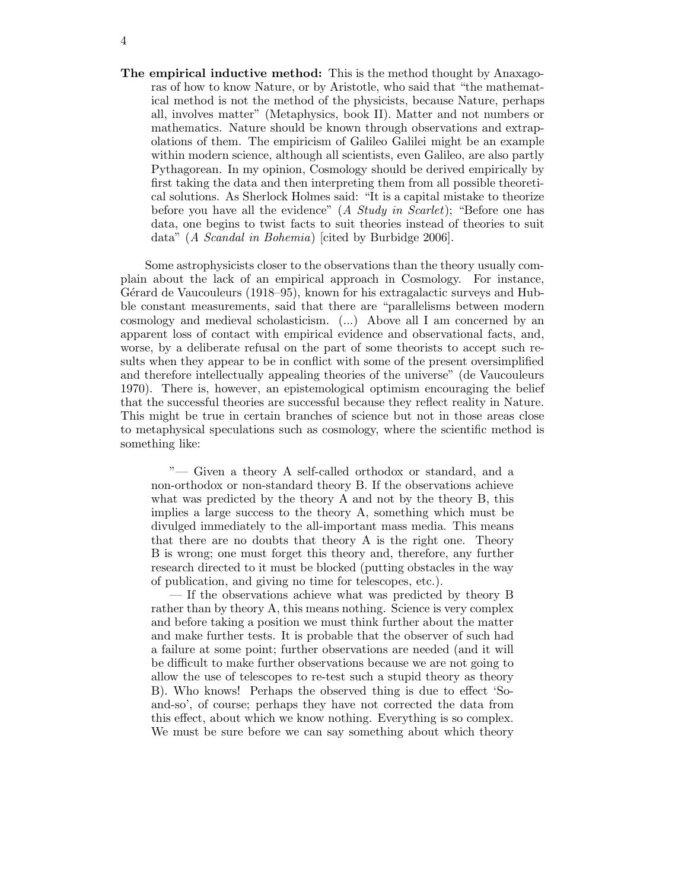The empirical inductive method: This is the method thought by Anaxagoras of how to know Nature, or by Aristotle, who said that "the mathematical method is not the method of the physicists, because Nature, perhaps all, involves matter" (Metaphysics, book II). Matter and not numbers or mathematics. Nature should be known through observations and extrapolations of them. The empiricism of Galileo Galilei might be an example within modern science, although all scientists, even Galileo, are also partly Pythagorean. In my opinion, Cosmology should be derived empirically by first taking the data and then interpreting them from all possible theoretical solutions. As Sherlock Holmes said: "It is a capital mistake to theorize before you have all the evidence"  $(A \nStudy in \nSearchet)$ ; "Before one has data, one begins to twist facts to suit theories instead of theories to suit data" (A Scandal in Bohemia) [cited by Burbidge 2006].

Some astrophysicists closer to the observations than the theory usually complain about the lack of an empirical approach in Cosmology. For instance, Gérard de Vaucouleurs (1918–95), known for his extragalactic surveys and Hubble constant measurements, said that there are "parallelisms between modern cosmology and medieval scholasticism. (...) Above all I am concerned by an apparent loss of contact with empirical evidence and observational facts, and, worse, by a deliberate refusal on the part of some theorists to accept such results when they appear to be in conflict with some of the present oversimplified and therefore intellectually appealing theories of the universe" (de Vaucouleurs 1970). There is, however, an epistemological optimism encouraging the belief that the successful theories are successful because they reflect reality in Nature. This might be true in certain branches of science but not in those areas close to metaphysical speculations such as cosmology, where the scientific method is something like:

"— Given a theory A self-called orthodox or standard, and a non-orthodox or non-standard theory B. If the observations achieve what was predicted by the theory A and not by the theory B, this implies a large success to the theory A, something which must be divulged immediately to the all-important mass media. This means that there are no doubts that theory A is the right one. Theory B is wrong; one must forget this theory and, therefore, any further research directed to it must be blocked (putting obstacles in the way of publication, and giving no time for telescopes, etc.).

— If the observations achieve what was predicted by theory B rather than by theory A, this means nothing. Science is very complex and before taking a position we must think further about the matter and make further tests. It is probable that the observer of such had a failure at some point; further observations are needed (and it will be difficult to make further observations because we are not going to allow the use of telescopes to re-test such a stupid theory as theory B). Who knows! Perhaps the observed thing is due to effect 'Soand-so', of course; perhaps they have not corrected the data from this effect, about which we know nothing. Everything is so complex. We must be sure before we can say something about which theory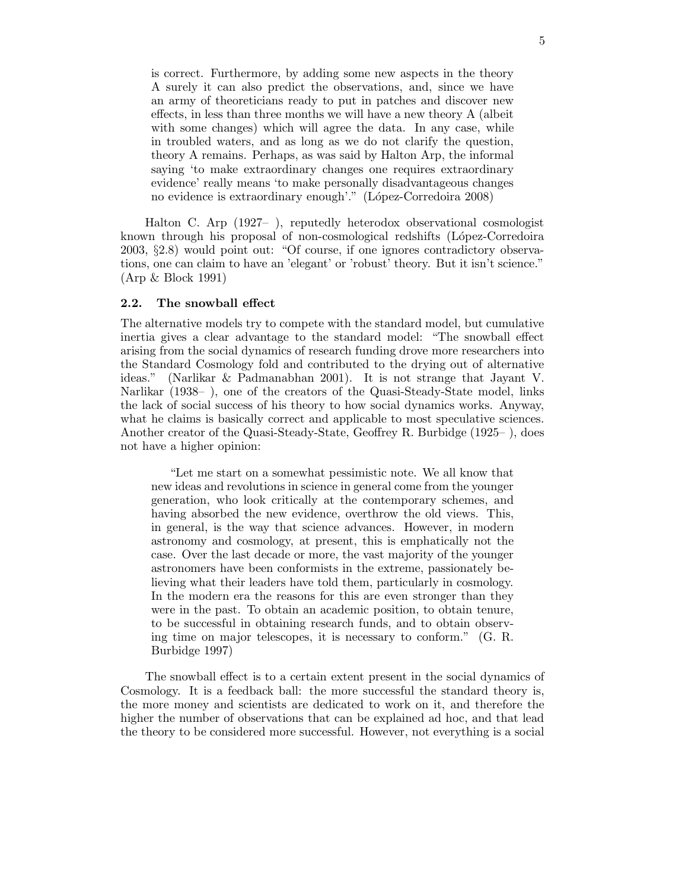is correct. Furthermore, by adding some new aspects in the theory A surely it can also predict the observations, and, since we have an army of theoreticians ready to put in patches and discover new effects, in less than three months we will have a new theory A (albeit with some changes) which will agree the data. In any case, while in troubled waters, and as long as we do not clarify the question, theory A remains. Perhaps, as was said by Halton Arp, the informal saying 'to make extraordinary changes one requires extraordinary evidence' really means 'to make personally disadvantageous changes no evidence is extraordinary enough'." (López-Corredoira 2008)

Halton C. Arp (1927– ), reputedly heterodox observational cosmologist known through his proposal of non-cosmological redshifts (López-Corredoira 2003, §2.8) would point out: "Of course, if one ignores contradictory observations, one can claim to have an 'elegant' or 'robust' theory. But it isn't science." (Arp & Block 1991)

#### 2.2. The snowball effect

The alternative models try to compete with the standard model, but cumulative inertia gives a clear advantage to the standard model: "The snowball effect arising from the social dynamics of research funding drove more researchers into the Standard Cosmology fold and contributed to the drying out of alternative ideas." (Narlikar & Padmanabhan 2001). It is not strange that Jayant V. Narlikar (1938– ), one of the creators of the Quasi-Steady-State model, links the lack of social success of his theory to how social dynamics works. Anyway, what he claims is basically correct and applicable to most speculative sciences. Another creator of the Quasi-Steady-State, Geoffrey R. Burbidge (1925– ), does not have a higher opinion:

"Let me start on a somewhat pessimistic note. We all know that new ideas and revolutions in science in general come from the younger generation, who look critically at the contemporary schemes, and having absorbed the new evidence, overthrow the old views. This, in general, is the way that science advances. However, in modern astronomy and cosmology, at present, this is emphatically not the case. Over the last decade or more, the vast majority of the younger astronomers have been conformists in the extreme, passionately believing what their leaders have told them, particularly in cosmology. In the modern era the reasons for this are even stronger than they were in the past. To obtain an academic position, to obtain tenure, to be successful in obtaining research funds, and to obtain observing time on major telescopes, it is necessary to conform." (G. R. Burbidge 1997)

The snowball effect is to a certain extent present in the social dynamics of Cosmology. It is a feedback ball: the more successful the standard theory is, the more money and scientists are dedicated to work on it, and therefore the higher the number of observations that can be explained ad hoc, and that lead the theory to be considered more successful. However, not everything is a social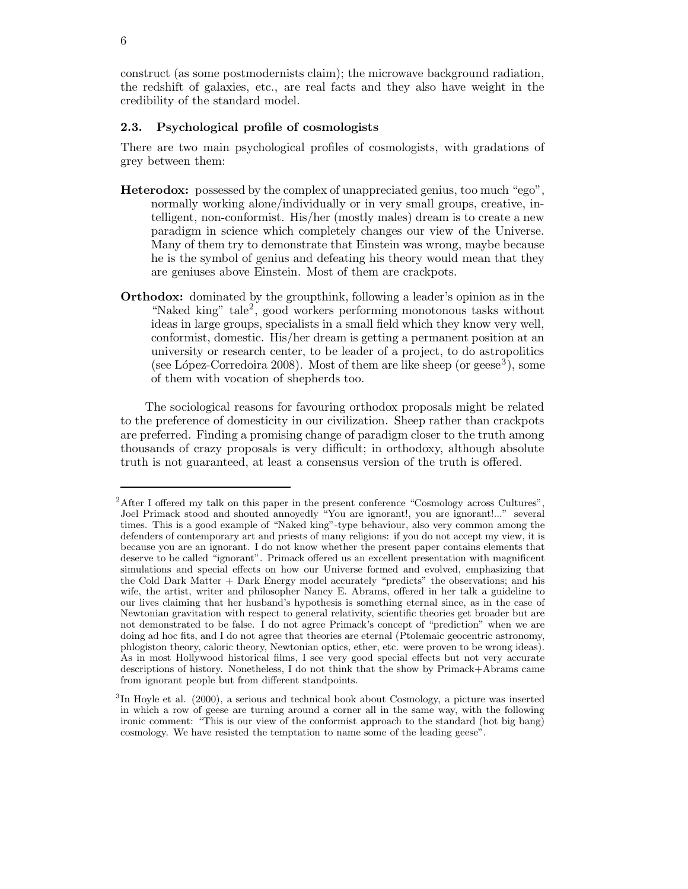construct (as some postmodernists claim); the microwave background radiation, the redshift of galaxies, etc., are real facts and they also have weight in the credibility of the standard model.

#### 2.3. Psychological profile of cosmologists

There are two main psychological profiles of cosmologists, with gradations of grey between them:

- Heterodox: possessed by the complex of unappreciated genius, too much "ego", normally working alone/individually or in very small groups, creative, intelligent, non-conformist. His/her (mostly males) dream is to create a new paradigm in science which completely changes our view of the Universe. Many of them try to demonstrate that Einstein was wrong, maybe because he is the symbol of genius and defeating his theory would mean that they are geniuses above Einstein. Most of them are crackpots.
- Orthodox: dominated by the groupthink, following a leader's opinion as in the "Naked king" tale<sup>2</sup>, good workers performing monotonous tasks without ideas in large groups, specialists in a small field which they know very well, conformist, domestic. His/her dream is getting a permanent position at an university or research center, to be leader of a project, to do astropolitics (see López-Corredoira 2008). Most of them are like sheep (or geese<sup>3</sup>), some of them with vocation of shepherds too.

The sociological reasons for favouring orthodox proposals might be related to the preference of domesticity in our civilization. Sheep rather than crackpots are preferred. Finding a promising change of paradigm closer to the truth among thousands of crazy proposals is very difficult; in orthodoxy, although absolute truth is not guaranteed, at least a consensus version of the truth is offered.

 $2$ After I offered my talk on this paper in the present conference "Cosmology across Cultures" Joel Primack stood and shouted annoyedly "You are ignorant!, you are ignorant!..." several times. This is a good example of "Naked king"-type behaviour, also very common among the defenders of contemporary art and priests of many religions: if you do not accept my view, it is because you are an ignorant. I do not know whether the present paper contains elements that deserve to be called "ignorant". Primack offered us an excellent presentation with magnificent simulations and special effects on how our Universe formed and evolved, emphasizing that the Cold Dark Matter + Dark Energy model accurately "predicts" the observations; and his wife, the artist, writer and philosopher Nancy E. Abrams, offered in her talk a guideline to our lives claiming that her husband's hypothesis is something eternal since, as in the case of Newtonian gravitation with respect to general relativity, scientific theories get broader but are not demonstrated to be false. I do not agree Primack's concept of "prediction" when we are doing ad hoc fits, and I do not agree that theories are eternal (Ptolemaic geocentric astronomy, phlogiston theory, caloric theory, Newtonian optics, ether, etc. were proven to be wrong ideas). As in most Hollywood historical films, I see very good special effects but not very accurate descriptions of history. Nonetheless, I do not think that the show by Primack+Abrams came from ignorant people but from different standpoints.

<sup>&</sup>lt;sup>3</sup>In Hoyle et al. (2000), a serious and technical book about Cosmology, a picture was inserted in which a row of geese are turning around a corner all in the same way, with the following ironic comment: "This is our view of the conformist approach to the standard (hot big bang) cosmology. We have resisted the temptation to name some of the leading geese".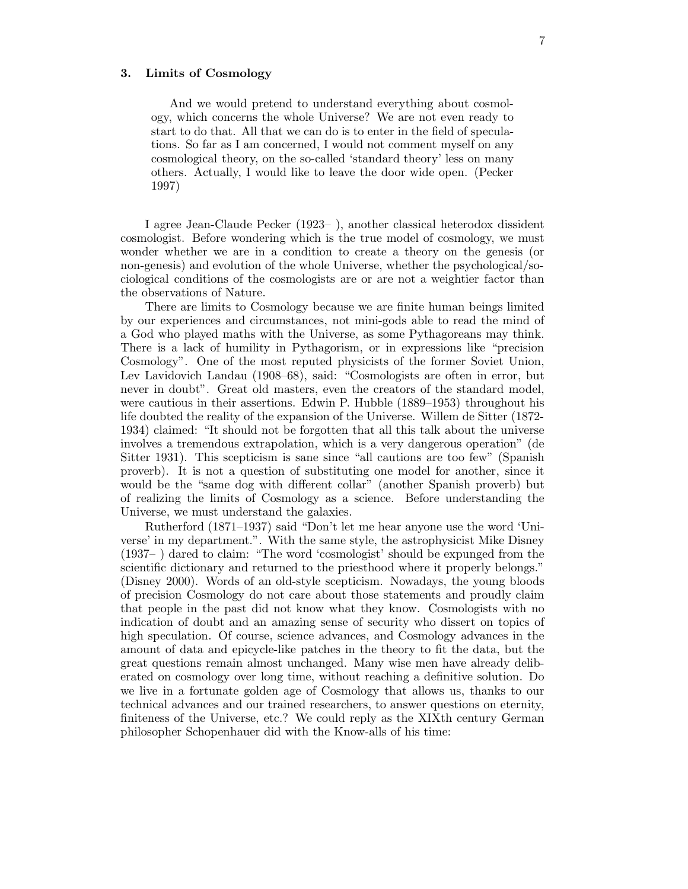#### 3. Limits of Cosmology

And we would pretend to understand everything about cosmology, which concerns the whole Universe? We are not even ready to start to do that. All that we can do is to enter in the field of speculations. So far as I am concerned, I would not comment myself on any cosmological theory, on the so-called 'standard theory' less on many others. Actually, I would like to leave the door wide open. (Pecker 1997)

I agree Jean-Claude Pecker (1923– ), another classical heterodox dissident cosmologist. Before wondering which is the true model of cosmology, we must wonder whether we are in a condition to create a theory on the genesis (or non-genesis) and evolution of the whole Universe, whether the psychological/sociological conditions of the cosmologists are or are not a weightier factor than the observations of Nature.

There are limits to Cosmology because we are finite human beings limited by our experiences and circumstances, not mini-gods able to read the mind of a God who played maths with the Universe, as some Pythagoreans may think. There is a lack of humility in Pythagorism, or in expressions like "precision Cosmology". One of the most reputed physicists of the former Soviet Union, Lev Lavidovich Landau (1908–68), said: "Cosmologists are often in error, but never in doubt". Great old masters, even the creators of the standard model, were cautious in their assertions. Edwin P. Hubble (1889–1953) throughout his life doubted the reality of the expansion of the Universe. Willem de Sitter (1872- 1934) claimed: "It should not be forgotten that all this talk about the universe involves a tremendous extrapolation, which is a very dangerous operation" (de Sitter 1931). This scepticism is sane since "all cautions are too few" (Spanish proverb). It is not a question of substituting one model for another, since it would be the "same dog with different collar" (another Spanish proverb) but of realizing the limits of Cosmology as a science. Before understanding the Universe, we must understand the galaxies.

Rutherford (1871–1937) said "Don't let me hear anyone use the word 'Universe' in my department.". With the same style, the astrophysicist Mike Disney (1937– ) dared to claim: "The word 'cosmologist' should be expunged from the scientific dictionary and returned to the priesthood where it properly belongs." (Disney 2000). Words of an old-style scepticism. Nowadays, the young bloods of precision Cosmology do not care about those statements and proudly claim that people in the past did not know what they know. Cosmologists with no indication of doubt and an amazing sense of security who dissert on topics of high speculation. Of course, science advances, and Cosmology advances in the amount of data and epicycle-like patches in the theory to fit the data, but the great questions remain almost unchanged. Many wise men have already deliberated on cosmology over long time, without reaching a definitive solution. Do we live in a fortunate golden age of Cosmology that allows us, thanks to our technical advances and our trained researchers, to answer questions on eternity, finiteness of the Universe, etc.? We could reply as the XIXth century German philosopher Schopenhauer did with the Know-alls of his time: